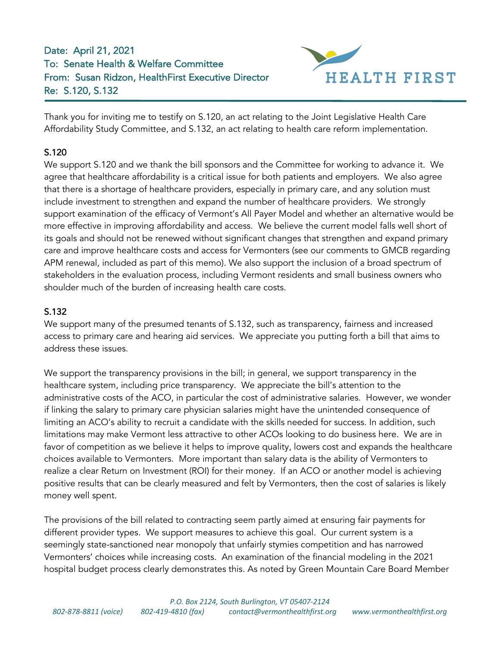## Date: April 21, 2021 To: Senate Health & Welfare Committee From: Susan Ridzon, HealthFirst Executive Director Re: S.120, S.132



Thank you for inviting me to testify on S.120, an act relating to the Joint Legislative Health Care Affordability Study Committee, and S.132, an act relating to health care reform implementation.

## S.120

We support S.120 and we thank the bill sponsors and the Committee for working to advance it. We agree that healthcare affordability is a critical issue for both patients and employers. We also agree that there is a shortage of healthcare providers, especially in primary care, and any solution must include investment to strengthen and expand the number of healthcare providers. We strongly support examination of the efficacy of Vermont's All Payer Model and whether an alternative would be more effective in improving affordability and access. We believe the current model falls well short of its goals and should not be renewed without significant changes that strengthen and expand primary care and improve healthcare costs and access for Vermonters (see our comments to GMCB regarding APM renewal, included as part of this memo). We also support the inclusion of a broad spectrum of stakeholders in the evaluation process, including Vermont residents and small business owners who shoulder much of the burden of increasing health care costs.

## S.132

We support many of the presumed tenants of S.132, such as transparency, fairness and increased access to primary care and hearing aid services. We appreciate you putting forth a bill that aims to address these issues.

We support the transparency provisions in the bill; in general, we support transparency in the healthcare system, including price transparency. We appreciate the bill's attention to the administrative costs of the ACO, in particular the cost of administrative salaries. However, we wonder if linking the salary to primary care physician salaries might have the unintended consequence of limiting an ACO's ability to recruit a candidate with the skills needed for success. In addition, such limitations may make Vermont less attractive to other ACOs looking to do business here. We are in favor of competition as we believe it helps to improve quality, lowers cost and expands the healthcare choices available to Vermonters. More important than salary data is the ability of Vermonters to realize a clear Return on Investment (ROI) for their money. If an ACO or another model is achieving positive results that can be clearly measured and felt by Vermonters, then the cost of salaries is likely money well spent.

The provisions of the bill related to contracting seem partly aimed at ensuring fair payments for different provider types. We support measures to achieve this goal. Our current system is a seemingly state-sanctioned near monopoly that unfairly stymies competition and has narrowed Vermonters' choices while increasing costs. An examination of the financial modeling in the 2021 hospital budget process clearly demonstrates this. As noted by Green Mountain Care Board Member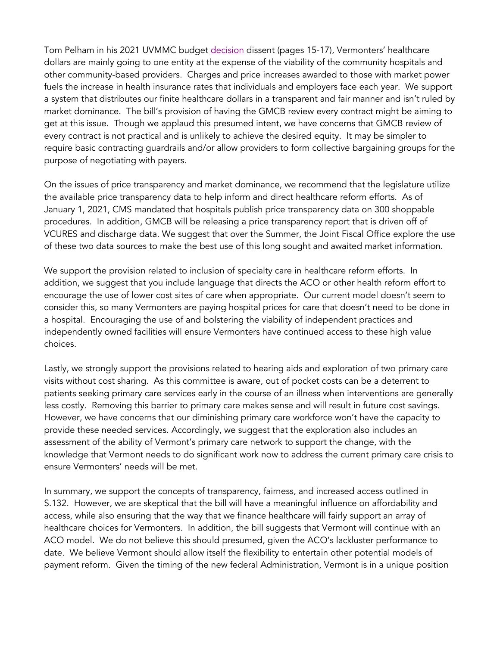Tom Pelham in his 2021 UVMMC budget [decision](https://gmcboard.vermont.gov/sites/gmcb/files/documents/FY21%20The%20University%20of%20Vermont%20Medical%20Center%20Budget%20Order%20and%20Cover%20Letter.pdf) dissent (pages 15-17), Vermonters' healthcare dollars are mainly going to one entity at the expense of the viability of the community hospitals and other community-based providers. Charges and price increases awarded to those with market power fuels the increase in health insurance rates that individuals and employers face each year. We support a system that distributes our finite healthcare dollars in a transparent and fair manner and isn't ruled by market dominance. The bill's provision of having the GMCB review every contract might be aiming to get at this issue. Though we applaud this presumed intent, we have concerns that GMCB review of every contract is not practical and is unlikely to achieve the desired equity. It may be simpler to require basic contracting guardrails and/or allow providers to form collective bargaining groups for the purpose of negotiating with payers.

On the issues of price transparency and market dominance, we recommend that the legislature utilize the available price transparency data to help inform and direct healthcare reform efforts. As of January 1, 2021, CMS mandated that hospitals publish price transparency data on 300 shoppable procedures. In addition, GMCB will be releasing a price transparency report that is driven off of VCURES and discharge data. We suggest that over the Summer, the Joint Fiscal Office explore the use of these two data sources to make the best use of this long sought and awaited market information.

We support the provision related to inclusion of specialty care in healthcare reform efforts. In addition, we suggest that you include language that directs the ACO or other health reform effort to encourage the use of lower cost sites of care when appropriate. Our current model doesn't seem to consider this, so many Vermonters are paying hospital prices for care that doesn't need to be done in a hospital. Encouraging the use of and bolstering the viability of independent practices and independently owned facilities will ensure Vermonters have continued access to these high value choices.

Lastly, we strongly support the provisions related to hearing aids and exploration of two primary care visits without cost sharing. As this committee is aware, out of pocket costs can be a deterrent to patients seeking primary care services early in the course of an illness when interventions are generally less costly. Removing this barrier to primary care makes sense and will result in future cost savings. However, we have concerns that our diminishing primary care workforce won't have the capacity to provide these needed services. Accordingly, we suggest that the exploration also includes an assessment of the ability of Vermont's primary care network to support the change, with the knowledge that Vermont needs to do significant work now to address the current primary care crisis to ensure Vermonters' needs will be met.

In summary, we support the concepts of transparency, fairness, and increased access outlined in S.132. However, we are skeptical that the bill will have a meaningful influence on affordability and access, while also ensuring that the way that we finance healthcare will fairly support an array of healthcare choices for Vermonters. In addition, the bill suggests that Vermont will continue with an ACO model. We do not believe this should presumed, given the ACO's lackluster performance to date. We believe Vermont should allow itself the flexibility to entertain other potential models of payment reform. Given the timing of the new federal Administration, Vermont is in a unique position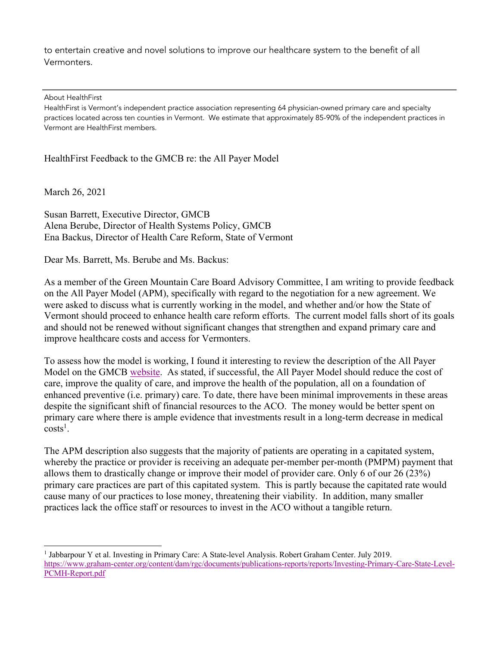to entertain creative and novel solutions to improve our healthcare system to the benefit of all Vermonters.

About HealthFirst

HealthFirst is Vermont's independent practice association representing 64 physician-owned primary care and specialty practices located across ten counties in Vermont. We estimate that approximately 85-90% of the independent practices in Vermont are HealthFirst members.

HealthFirst Feedback to the GMCB re: the All Payer Model

March 26, 2021

Susan Barrett, Executive Director, GMCB Alena Berube, Director of Health Systems Policy, GMCB Ena Backus, Director of Health Care Reform, State of Vermont

Dear Ms. Barrett, Ms. Berube and Ms. Backus:

As a member of the Green Mountain Care Board Advisory Committee, I am writing to provide feedback on the All Payer Model (APM), specifically with regard to the negotiation for a new agreement. We were asked to discuss what is currently working in the model, and whether and/or how the State of Vermont should proceed to enhance health care reform efforts. The current model falls short of its goals and should not be renewed without significant changes that strengthen and expand primary care and improve healthcare costs and access for Vermonters.

To assess how the model is working, I found it interesting to review the description of the All Payer Model on the GMCB [website.](https://gmcboard.vermont.gov/payment-reform/APM) As stated, if successful, the All Payer Model should reduce the cost of care, improve the quality of care, and improve the health of the population, all on a foundation of enhanced preventive (i.e. primary) care. To date, there have been minimal improvements in these areas despite the significant shift of financial resources to the ACO. The money would be better spent on primary care where there is ample evidence that investments result in a long-term decrease in medical  $costs^1$ .

The APM description also suggests that the majority of patients are operating in a capitated system, whereby the practice or provider is receiving an adequate per-member per-month (PMPM) payment that allows them to drastically change or improve their model of provider care. Only 6 of our 26 (23%) primary care practices are part of this capitated system. This is partly because the capitated rate would cause many of our practices to lose money, threatening their viability. In addition, many smaller practices lack the office staff or resources to invest in the ACO without a tangible return.

<sup>1</sup> Jabbarpour Y et al. Investing in Primary Care: A State-level Analysis. Robert Graham Center. July 2019. [https://www.graham-center.org/content/dam/rgc/documents/publications-reports/reports/Investing-Primary-Care-State-Level-](https://www.graham-center.org/content/dam/rgc/documents/publications-reports/reports/Investing-Primary-Care-State-Level-PCMH-Report.pdf)PCMH-Report.pdf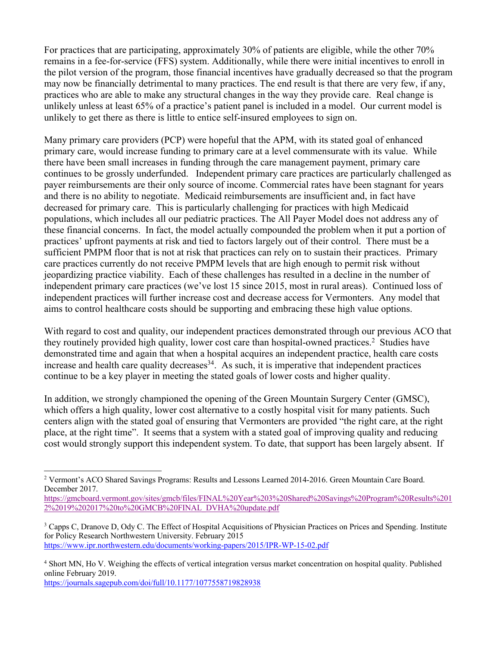For practices that are participating, approximately 30% of patients are eligible, while the other 70% remains in a fee-for-service (FFS) system. Additionally, while there were initial incentives to enroll in the pilot version of the program, those financial incentives have gradually decreased so that the program may now be financially detrimental to many practices. The end result is that there are very few, if any, practices who are able to make any structural changes in the way they provide care. Real change is unlikely unless at least 65% of a practice's patient panel is included in a model. Our current model is unlikely to get there as there is little to entice self-insured employees to sign on.

Many primary care providers (PCP) were hopeful that the APM, with its stated goal of enhanced primary care, would increase funding to primary care at a level commensurate with its value. While there have been small increases in funding through the care management payment, primary care continues to be grossly underfunded. Independent primary care practices are particularly challenged as payer reimbursements are their only source of income. Commercial rates have been stagnant for years and there is no ability to negotiate. Medicaid reimbursements are insufficient and, in fact have decreased for primary care. This is particularly challenging for practices with high Medicaid populations, which includes all our pediatric practices. The All Payer Model does not address any of these financial concerns. In fact, the model actually compounded the problem when it put a portion of practices' upfront payments at risk and tied to factors largely out of their control. There must be a sufficient PMPM floor that is not at risk that practices can rely on to sustain their practices. Primary care practices currently do not receive PMPM levels that are high enough to permit risk without jeopardizing practice viability. Each of these challenges has resulted in a decline in the number of independent primary care practices (we've lost 15 since 2015, most in rural areas). Continued loss of independent practices will further increase cost and decrease access for Vermonters. Any model that aims to control healthcare costs should be supporting and embracing these high value options.

With regard to cost and quality, our independent practices demonstrated through our previous ACO that they routinely provided high quality, lower cost care than hospital-owned practices.<sup>2</sup> Studies have demonstrated time and again that when a hospital acquires an independent practice, health care costs increase and health care quality decreases  $34$ . As such, it is imperative that independent practices continue to be a key player in meeting the stated goals of lower costs and higher quality.

In addition, we strongly championed the opening of the Green Mountain Surgery Center (GMSC), which offers a high quality, lower cost alternative to a costly hospital visit for many patients. Such centers align with the stated goal of ensuring that Vermonters are provided "the right care, at the right place, at the right time". It seems that a system with a stated goal of improving quality and reducing cost would strongly support this independent system. To date, that support has been largely absent. If

https://journals.sagepub.com/doi/full/10.1177/1077558719828938

<sup>2</sup> Vermont's ACO Shared Savings Programs: Results and Lessons Learned 2014-2016. Green Mountain Care Board. December 2017.

[https://gmcboard.vermont.gov/sites/gmcb/files/FINAL%20Year%203%20Shared%20Savings%20Program%20Results%201](https://gmcboard.vermont.gov/sites/gmcb/files/FINAL%20Year%203%20Shared%20Savings%20Program%20Results%2012%2019%202017%20to%20GMCB%20FINAL_DVHA%20update.pdf) 2%2019%202017%20to%20GMCB%20FINAL\_DVHA%20update.pdf

<sup>&</sup>lt;sup>3</sup> Capps C, Dranove D, Ody C. The Effect of Hospital Acquisitions of Physician Practices on Prices and Spending. Institute for Policy Research Northwestern University. February 2015 https://www.ipr.northwestern.edu/documents/working-papers/2015/IPR-WP-15-02.pdf

<sup>4</sup> Short MN, Ho V. Weighing the effects of vertical integration versus market concentration on hospital quality. Published online February 2019.